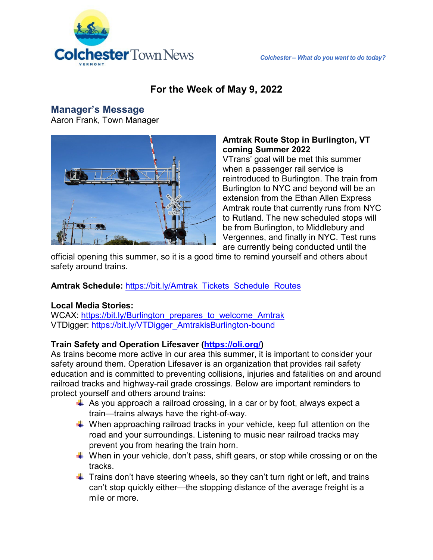

## **For the Week of May 9, 2022**

### **Manager's Message**

Aaron Frank, Town Manager



#### **Amtrak Route Stop in Burlington, VT coming Summer 2022**

VTrans' goal will be met this summer when a passenger rail service is reintroduced to Burlington. The train from Burlington to NYC and beyond will be an extension from the Ethan Allen Express Amtrak route that currently runs from NYC to Rutland. The new scheduled stops will be from Burlington, to Middlebury and Vergennes, and finally in NYC. Test runs are currently being conducted until the

official opening this summer, so it is a good time to remind yourself and others about safety around trains.

#### **Amtrak Schedule:** [https://bit.ly/Amtrak\\_Tickets\\_Schedule\\_Routes](https://bit.ly/Amtrak_Tickets_Schedule_Routes)

#### **Local Media Stories:**

WCAX: [https://bit.ly/Burlington\\_prepares\\_to\\_welcome\\_Amtrak](https://bit.ly/Burlington_prepares_to_welcome_Amtrak) VTDigger: [https://bit.ly/VTDigger\\_AmtrakisBurlington-bound](https://bit.ly/VTDigger_AmtrakisBurlington-bound)

#### **Train Safety and Operation Lifesaver [\(https://oli.org/\)](https://oli.org/)**

As trains become more active in our area this summer, it is important to consider your safety around them. Operation Lifesaver is an organization that provides rail safety education and is committed to preventing collisions, injuries and fatalities on and around railroad tracks and highway-rail grade crossings. Below are important reminders to protect yourself and others around trains:

- $\overline{\phantom{a}}$  As you approach a railroad crossing, in a car or by foot, always expect a train—trains always have the right-of-way.
- $\ddot{+}$  When approaching railroad tracks in your vehicle, keep full attention on the road and your surroundings. Listening to music near railroad tracks may prevent you from hearing the train horn.
- $\ddot{*}$  When in your vehicle, don't pass, shift gears, or stop while crossing or on the tracks.
- $\ddot{\phantom{1}}$  Trains don't have steering wheels, so they can't turn right or left, and trains can't stop quickly either—the stopping distance of the average freight is a mile or more.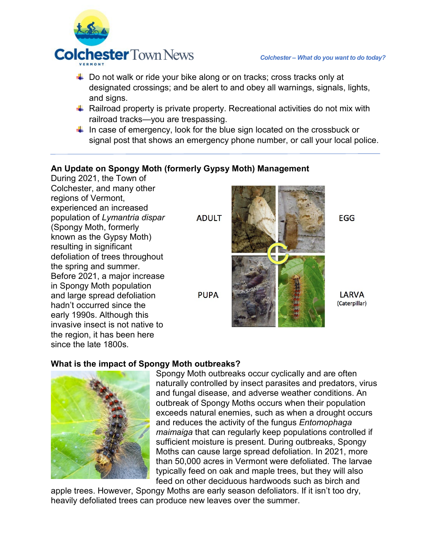

- $\ddot{\phantom{1}}$  Do not walk or ride your bike along or on tracks; cross tracks only at designated crossings; and be alert to and obey all warnings, signals, lights, and signs.
- $\downarrow$  Railroad property is private property. Recreational activities do not mix with railroad tracks—you are trespassing.
- $\downarrow$  In case of emergency, look for the blue sign located on the crossbuck or signal post that shows an emergency phone number, or call your local police.

### **An Update on Spongy Moth (formerly Gypsy Moth) Management**

During 2021, the Town of Colchester, and many other regions of Vermont, experienced an increased population of *Lymantria dispar*  (Spongy Moth, formerly known as the Gypsy Moth) resulting in significant defoliation of trees throughout the spring and summer. Before 2021, a major increase in Spongy Moth population and large spread defoliation hadn't occurred since the early 1990s. Although this invasive insect is not native to the region, it has been here since the late 1800s.

**ADULT** 





**LARVA** (Caterpillar)

**EGG** 

#### **What is the impact of Spongy Moth outbreaks?**



Spongy Moth outbreaks occur cyclically and are often naturally controlled by insect parasites and predators, virus and fungal disease, and adverse weather conditions. An outbreak of Spongy Moths occurs when their population exceeds natural enemies, such as when a drought occurs and reduces the activity of the fungus *Entomophaga maimaiga* that can regularly keep populations controlled if sufficient moisture is present. During outbreaks, Spongy Moths can cause large spread defoliation. In 2021, more than 50,000 acres in Vermont were defoliated. The larvae typically feed on oak and maple trees, but they will also feed on other deciduous hardwoods such as birch and

apple trees. However, Spongy Moths are early season defoliators. If it isn't too dry, heavily defoliated trees can produce new leaves over the summer.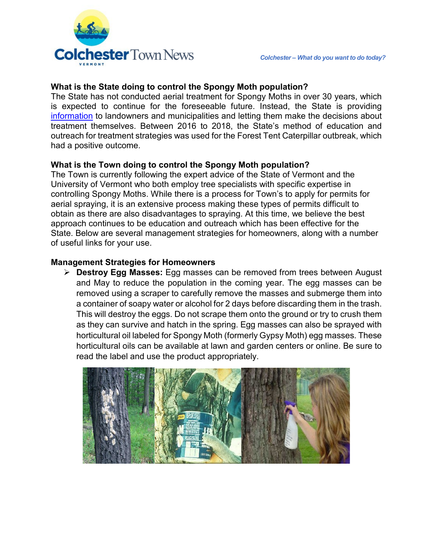

#### **What is the State doing to control the Spongy Moth population?**

The State has not conducted aerial treatment for Spongy Moths in over 30 years, which is expected to continue for the foreseeable future. Instead, the State is providing [information](https://www.vtinvasives.org/sites/default/files/images/VT%20FPR_LDD%20Leaflet_Dec%202021_final.pdf) to landowners and municipalities and letting them make the decisions about treatment themselves. Between 2016 to 2018, the State's method of education and outreach for treatment strategies was used for the Forest Tent Caterpillar outbreak, which had a positive outcome.

#### **What is the Town doing to control the Spongy Moth population?**

The Town is currently following the expert advice of the State of Vermont and the University of Vermont who both employ tree specialists with specific expertise in controlling Spongy Moths. While there is a process for Town's to apply for permits for aerial spraying, it is an extensive process making these types of permits difficult to obtain as there are also disadvantages to spraying. At this time, we believe the best approach continues to be education and outreach which has been effective for the State. Below are several management strategies for homeowners, along with a number of useful links for your use.

#### **Management Strategies for Homeowners**

 **Destroy Egg Masses:** Egg masses can be removed from trees between August and May to reduce the population in the coming year. The egg masses can be removed using a scraper to carefully remove the masses and submerge them into a container of soapy water or alcohol for 2 days before discarding them in the trash. This will destroy the eggs. Do not scrape them onto the ground or try to crush them as they can survive and hatch in the spring. Egg masses can also be sprayed with horticultural oil labeled for Spongy Moth (formerly Gypsy Moth) egg masses. These horticultural oils can be available at lawn and garden centers or online. Be sure to read the label and use the product appropriately.

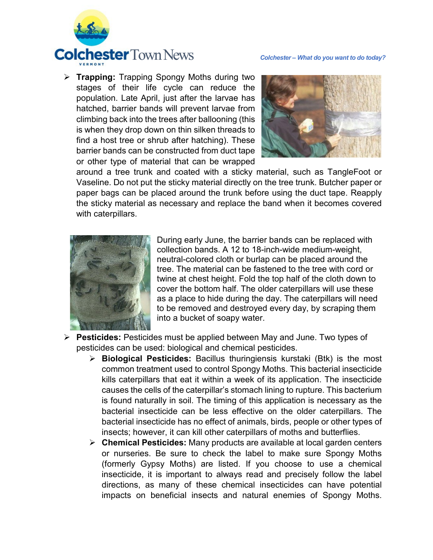

 **Trapping:** Trapping Spongy Moths during two stages of their life cycle can reduce the population. Late April, just after the larvae has hatched, barrier bands will prevent larvae from climbing back into the trees after ballooning (this is when they drop down on thin silken threads to find a host tree or shrub after hatching). These barrier bands can be constructed from duct tape or other type of material that can be wrapped



around a tree trunk and coated with a sticky material, such as TangleFoot or Vaseline. Do not put the sticky material directly on the tree trunk. Butcher paper or paper bags can be placed around the trunk before using the duct tape. Reapply the sticky material as necessary and replace the band when it becomes covered with caterpillars.



During early June, the barrier bands can be replaced with collection bands. A 12 to 18-inch-wide medium-weight, neutral-colored cloth or burlap can be placed around the tree. The material can be fastened to the tree with cord or twine at chest height. Fold the top half of the cloth down to cover the bottom half. The older caterpillars will use these as a place to hide during the day. The caterpillars will need to be removed and destroyed every day, by scraping them into a bucket of soapy water.

- **Pesticides:** Pesticides must be applied between May and June. Two types of pesticides can be used: biological and chemical pesticides.
	- **Biological Pesticides:** Bacillus thuringiensis kurstaki (Btk) is the most common treatment used to control Spongy Moths. This bacterial insecticide kills caterpillars that eat it within a week of its application. The insecticide causes the cells of the caterpillar's stomach lining to rupture. This bacterium is found naturally in soil. The timing of this application is necessary as the bacterial insecticide can be less effective on the older caterpillars. The bacterial insecticide has no effect of animals, birds, people or other types of insects; however, it can kill other caterpillars of moths and butterflies.
	- **Chemical Pesticides:** Many products are available at local garden centers or nurseries. Be sure to check the label to make sure Spongy Moths (formerly Gypsy Moths) are listed. If you choose to use a chemical insecticide, it is important to always read and precisely follow the label directions, as many of these chemical insecticides can have potential impacts on beneficial insects and natural enemies of Spongy Moths.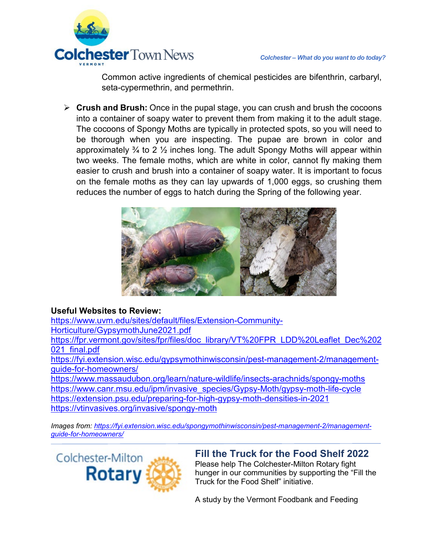

Common active ingredients of chemical pesticides are bifenthrin, carbaryl, seta-cypermethrin, and permethrin.

 **Crush and Brush:** Once in the pupal stage, you can crush and brush the cocoons into a container of soapy water to prevent them from making it to the adult stage. The cocoons of Spongy Moths are typically in protected spots, so you will need to be thorough when you are inspecting. The pupae are brown in color and approximately  $\frac{3}{4}$  to 2  $\frac{1}{2}$  inches long. The adult Spongy Moths will appear within two weeks. The female moths, which are white in color, cannot fly making them easier to crush and brush into a container of soapy water. It is important to focus on the female moths as they can lay upwards of 1,000 eggs, so crushing them reduces the number of eggs to hatch during the Spring of the following year.



#### **Useful Websites to Review:**

[https://www.uvm.edu/sites/default/files/Extension-Community-](https://www.uvm.edu/sites/default/files/Extension-Community-Horticulture/GypsymothJune2021.pdf)[Horticulture/GypsymothJune2021.pdf](https://www.uvm.edu/sites/default/files/Extension-Community-Horticulture/GypsymothJune2021.pdf) [https://fpr.vermont.gov/sites/fpr/files/doc\\_library/VT%20FPR\\_LDD%20Leaflet\\_Dec%202](https://fpr.vermont.gov/sites/fpr/files/doc_library/VT%20FPR_LDD%20Leaflet_Dec%202021_final.pdf) [021\\_final.pdf](https://fpr.vermont.gov/sites/fpr/files/doc_library/VT%20FPR_LDD%20Leaflet_Dec%202021_final.pdf)

[https://fyi.extension.wisc.edu/gypsymothinwisconsin/pest-management-2/management](https://fyi.extension.wisc.edu/gypsymothinwisconsin/pest-management-2/management-guide-for-homeowners/)[guide-for-homeowners/](https://fyi.extension.wisc.edu/gypsymothinwisconsin/pest-management-2/management-guide-for-homeowners/)

<https://www.massaudubon.org/learn/nature-wildlife/insects-arachnids/spongy-moths> [https://www.canr.msu.edu/ipm/invasive\\_species/Gypsy-Moth/gypsy-moth-life-cycle](https://www.canr.msu.edu/ipm/invasive_species/Gypsy-Moth/gypsy-moth-life-cycle) <https://extension.psu.edu/preparing-for-high-gypsy-moth-densities-in-2021> <https://vtinvasives.org/invasive/spongy-moth>

*Images from: [https://fyi.extension.wisc.edu/spongymothinwisconsin/pest-management-2/management](https://fyi.extension.wisc.edu/spongymothinwisconsin/pest-management-2/management-guide-for-homeowners/)[guide-for-homeowners/](https://fyi.extension.wisc.edu/spongymothinwisconsin/pest-management-2/management-guide-for-homeowners/)* 

Colchester-Milton **Rotary** 

#### **Fill the Truck for the Food Shelf 2022** Please help The Colchester-Milton Rotary fight hunger in our communities by supporting the "Fill the Truck for the Food Shelf" initiative.

A study by the Vermont Foodbank and Feeding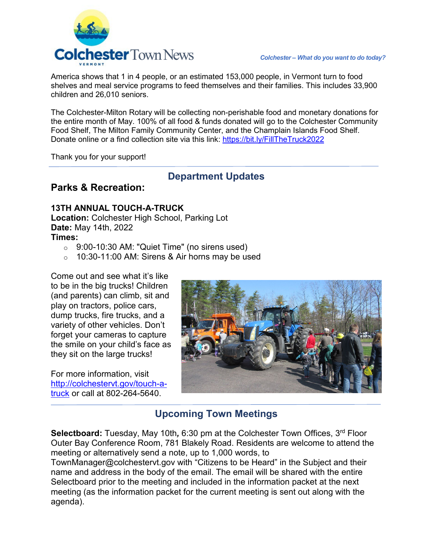

America shows that 1 in 4 people, or an estimated 153,000 people, in Vermont turn to food shelves and meal service programs to feed themselves and their families. This includes 33,900 children and 26,010 seniors.

The Colchester-Milton Rotary will be collecting non-perishable food and monetary donations for the entire month of May. 100% of all food & funds donated will go to the Colchester Community Food Shelf, The Milton Family Community Center, and the Champlain Islands Food Shelf. Donate online or a find collection site via this link: [https://bit.ly/FillTheTruck2022](https://linkprotect.cudasvc.com/url?a=https%3a%2f%2fsp.frontporchforum.com%2ff%2fa%2fAdDKviU9ONEIykJ8EbTQiA%7E%7E%2fAAQuHwA%7E%2fRgRkVr6rP0QfaHR0cHM6Ly9iaXQubHkvRmlsbFRoZVRydWNrMjAyMlcDc3BjQgpica45dGJtCtjDUhhhdGViZWF1QGNvbGNoZXN0ZXJ2dC5nb3ZYBAAAAAA%7E&c=E,1,NR8XNhKQGG5IC7E4hBn_o_Q8jmf9RxFKVj29hsUyAZWspkXnQGzMiL0elfZ6cLMlWrDRKsaX2hpsHaPAM4ZSvDgGgEpgxdmDVsELjj8yumu-&typo=1)

Thank you for your support!

### **Department Updates**

### **Parks & Recreation:**

### **13TH ANNUAL TOUCH-A-TRUCK**

**Location:** Colchester High School, Parking Lot **Date:** May 14th, 2022 **Times:**

- $\circ$  9:00-10:30 AM: "Quiet Time" (no sirens used)
- $\circ$  10:30-11:00 AM: Sirens & Air horns may be used

Come out and see what it's like to be in the big trucks! Children (and parents) can climb, sit and play on tractors, police cars, dump trucks, fire trucks, and a variety of other vehicles. Don't forget your cameras to capture the smile on your child's face as they sit on the large trucks!

For more information, visit [http://colchestervt.gov/touch-a](https://linkprotect.cudasvc.com/url?a=https%3a%2f%2fsp.frontporchforum.com%2ff%2fa%2fnUJm4aHcK03uGH17TadDoA%7E%7E%2fAAQuHwA%7E%2fRgRkVB2xP0QlaHR0cDovL2NvbGNoZXN0ZXJ2dC5nb3YvdG91Y2gtYS10cnVja1cDc3BjQgpicbKYcWJ0GNbJUhhhdGViZWF1QGNvbGNoZXN0ZXJ2dC5nb3ZYBAAAAAA%7E&c=E,1,5i0La6kiFCJzcokosBI3W1Td5gZamjoPmJ_WQpuGDdUskvTWGWbeiseVmskMJmzjIpIV3cSLklBbjwwP-ts8R2P2s3pETHQpXrZ8b_ACXceNJpU,&typo=1)[truck](https://linkprotect.cudasvc.com/url?a=https%3a%2f%2fsp.frontporchforum.com%2ff%2fa%2fnUJm4aHcK03uGH17TadDoA%7E%7E%2fAAQuHwA%7E%2fRgRkVB2xP0QlaHR0cDovL2NvbGNoZXN0ZXJ2dC5nb3YvdG91Y2gtYS10cnVja1cDc3BjQgpicbKYcWJ0GNbJUhhhdGViZWF1QGNvbGNoZXN0ZXJ2dC5nb3ZYBAAAAAA%7E&c=E,1,5i0La6kiFCJzcokosBI3W1Td5gZamjoPmJ_WQpuGDdUskvTWGWbeiseVmskMJmzjIpIV3cSLklBbjwwP-ts8R2P2s3pETHQpXrZ8b_ACXceNJpU,&typo=1) or call at 802-264-5640.



# **Upcoming Town Meetings**

**Selectboard:** Tuesday, May 10th*,* 6:30 pm at the Colchester Town Offices, 3rd Floor Outer Bay Conference Room, 781 Blakely Road. Residents are welcome to attend the meeting or alternatively send a note, up to 1,000 words, to

TownManager@colchestervt.gov with "Citizens to be Heard" in the Subject and their name and address in the body of the email. The email will be shared with the entire Selectboard prior to the meeting and included in the information packet at the next meeting (as the information packet for the current meeting is sent out along with the agenda).